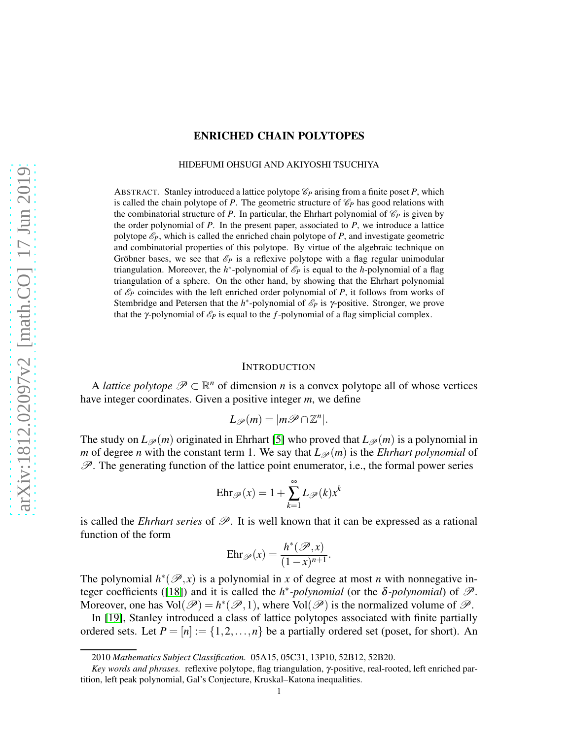## ENRICHED CHAIN POLYTOPES

#### HIDEFUMI OHSUGI AND AKIYOSHI TSUCHIYA

ABSTRACT. Stanley introduced a lattice polytope  $\mathcal{C}_P$  arising from a finite poset P, which is called the chain polytope of *P*. The geometric structure of  $\mathcal{C}_P$  has good relations with the combinatorial structure of *P*. In particular, the Ehrhart polynomial of  $\mathcal{C}_P$  is given by the order polynomial of *P*. In the present paper, associated to *P*, we introduce a lattice polytope  $\mathcal{E}_P$ , which is called the enriched chain polytope of *P*, and investigate geometric and combinatorial properties of this polytope. By virtue of the algebraic technique on Gröbner bases, we see that  $\mathscr{E}_P$  is a reflexive polytope with a flag regular unimodular triangulation. Moreover, the  $h^*$ -polynomial of  $\mathscr{E}_P$  is equal to the *h*-polynomial of a flag triangulation of a sphere. On the other hand, by showing that the Ehrhart polynomial of  $\mathcal{E}_P$  coincides with the left enriched order polynomial of P, it follows from works of Stembridge and Petersen that the *h*<sup>\*</sup>-polynomial of  $\mathcal{E}_P$  is γ-positive. Stronger, we prove that the *γ*-polynomial of  $\mathcal{E}_P$  is equal to the *f*-polynomial of a flag simplicial complex.

#### **INTRODUCTION**

A *lattice polytope*  $\mathscr{P} \subset \mathbb{R}^n$  of dimension *n* is a convex polytope all of whose vertices have integer coordinates. Given a positive integer *m*, we define

$$
L_{\mathscr{P}}(m)=|m\mathscr{P}\cap\mathbb{Z}^n|.
$$

The study on  $L_{\mathscr{P}}(m)$  originated in Ehrhart [\[5\]](#page-10-0) who proved that  $L_{\mathscr{P}}(m)$  is a polynomial in *m* of degree *n* with the constant term 1. We say that  $L_{\mathscr{P}}(m)$  is the *Ehrhart polynomial* of  $\mathscr{P}$ . The generating function of the lattice point enumerator, i.e., the formal power series

$$
Ehr_{\mathscr{P}}(x) = 1 + \sum_{k=1}^{\infty} L_{\mathscr{P}}(k)x^{k}
$$

is called the *Ehrhart series* of  $\mathscr{P}$ . It is well known that it can be expressed as a rational function of the form

$$
Ehr\mathscr{P}(x) = \frac{h^*(\mathscr{P},x)}{(1-x)^{n+1}}.
$$

The polynomial  $h^*(\mathscr{P},x)$  is a polynomial in *x* of degree at most *n* with nonnegative in-teger coefficients ([\[18\]](#page-10-1)) and it is called the  $h^*$ -polynomial (or the  $\delta$ -polynomial) of  $\mathscr{P}$ . Moreover, one has  $Vol(\mathcal{P}) = h^*(\mathcal{P}, 1)$ , where  $Vol(\mathcal{P})$  is the normalized volume of  $\mathcal{P}$ .

In [\[19\]](#page-10-2), Stanley introduced a class of lattice polytopes associated with finite partially ordered sets. Let  $P = [n] := \{1, 2, ..., n\}$  be a partially ordered set (poset, for short). An

<sup>2010</sup> *Mathematics Subject Classification.* 05A15, 05C31, 13P10, 52B12, 52B20.

*Key words and phrases.* reflexive polytope, flag triangulation, γ-positive, real-rooted, left enriched partition, left peak polynomial, Gal's Conjecture, Kruskal–Katona inequalities.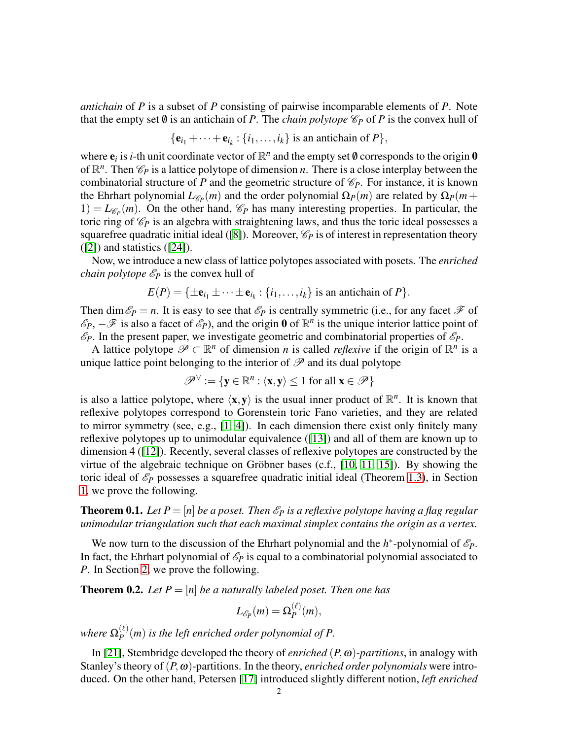*antichain* of *P* is a subset of *P* consisting of pairwise incomparable elements of *P*. Note that the empty set  $\emptyset$  is an antichain of *P*. The *chain polytope*  $\mathcal{C}_P$  of *P* is the convex hull of

$$
\{\mathbf e_{i_1}+\cdots+\mathbf e_{i_k}:\{i_1,\ldots,i_k\}\text{ is an antichain of }P\},\
$$

where  $e_i$  is *i*-th unit coordinate vector of  $\mathbb{R}^n$  and the empty set  $\emptyset$  corresponds to the origin  $\mathbf{0}$ of  $\mathbb{R}^n$ . Then  $\mathcal{C}_P$  is a lattice polytope of dimension *n*. There is a close interplay between the combinatorial structure of *P* and the geometric structure of  $\mathcal{C}_P$ . For instance, it is known the Ehrhart polynomial  $L_{\mathscr{C}_P}(m)$  and the order polynomial  $\Omega_P(m)$  are related by  $\Omega_P(m+1)$  $1) = L_{\mathscr{C}_P}(m)$ . On the other hand,  $\mathscr{C}_P$  has many interesting properties. In particular, the toric ring of  $\mathcal{C}_P$  is an algebra with straightening laws, and thus the toric ideal possesses a squarefree quadratic initial ideal ([\[8\]](#page-10-3)). Moreover,  $\mathcal{C}_P$  is of interest in representation theory ([\[2\]](#page-9-0)) and statistics ([\[24\]](#page-10-4)).

Now, we introduce a new class of lattice polytopes associated with posets. The *enriched chain polytope*  $\mathcal{E}_P$  is the convex hull of

$$
E(P) = \{ \pm \mathbf{e}_{i_1} \pm \cdots \pm \mathbf{e}_{i_k} : \{i_1, \ldots, i_k\} \text{ is an antichain of } P \}.
$$

Then dim  $\mathscr{E}_P = n$ . It is easy to see that  $\mathscr{E}_P$  is centrally symmetric (i.e., for any facet  $\mathscr{F}$  of  $\mathscr{E}_P$ ,  $-\mathscr{F}$  is also a facet of  $\mathscr{E}_P$ ), and the origin **0** of  $\mathbb{R}^n$  is the unique interior lattice point of  $\mathscr{E}_P$ . In the present paper, we investigate geometric and combinatorial properties of  $\mathscr{E}_P$ .

A lattice polytope  $\mathscr{P} \subset \mathbb{R}^n$  of dimension *n* is called *reflexive* if the origin of  $\mathbb{R}^n$  is a unique lattice point belonging to the interior of  $\mathscr P$  and its dual polytope

$$
\mathscr{P}^{\vee} := \{ \mathbf{y} \in \mathbb{R}^n : \langle \mathbf{x}, \mathbf{y} \rangle \le 1 \text{ for all } \mathbf{x} \in \mathscr{P} \}
$$

is also a lattice polytope, where  $\langle x, y \rangle$  is the usual inner product of  $\mathbb{R}^n$ . It is known that reflexive polytopes correspond to Gorenstein toric Fano varieties, and they are related to mirror symmetry (see, e.g., [\[1,](#page-9-1) [4\]](#page-10-5)). In each dimension there exist only finitely many reflexive polytopes up to unimodular equivalence ([\[13\]](#page-10-6)) and all of them are known up to dimension 4 ([\[12\]](#page-10-7)). Recently, several classes of reflexive polytopes are constructed by the virtue of the algebraic technique on Gröbner bases (c.f.,  $[10, 11, 15]$  $[10, 11, 15]$  $[10, 11, 15]$ ). By showing the toric ideal of  $\mathscr{E}_P$  possesses a squarefree quadratic initial ideal (Theorem [1.3\)](#page-4-0), in Section [1,](#page-2-0) we prove the following.

<span id="page-1-1"></span>**Theorem 0.1.** Let  $P = [n]$  be a poset. Then  $\mathcal{E}_P$  is a reflexive polytope having a flag regular *unimodular triangulation such that each maximal simplex contains the origin as a vertex.*

We now turn to the discussion of the Ehrhart polynomial and the  $h^*$ -polynomial of  $\mathcal{E}_P$ . In fact, the Ehrhart polynomial of  $\mathcal{E}_P$  is equal to a combinatorial polynomial associated to *P*. In Section [2,](#page-5-0) we prove the following.

<span id="page-1-0"></span>**Theorem 0.2.** Let  $P = [n]$  be a naturally labeled poset. Then one has

$$
L_{\mathscr{E}_P}(m)=\Omega_P^{(\ell)}(m),
$$

where  $\Omega^{(\ell)}_P$  $P_P^{(t)}(m)$  *is the left enriched order polynomial of P.* 

In [\[21\]](#page-10-11), Stembridge developed the theory of *enriched*  $(P, \omega)$ *-partitions*, in analogy with Stanley's theory of(*P*,ω)-partitions. In the theory, *enriched order polynomials* were introduced. On the other hand, Petersen [\[17\]](#page-10-12) introduced slightly different notion, *left enriched*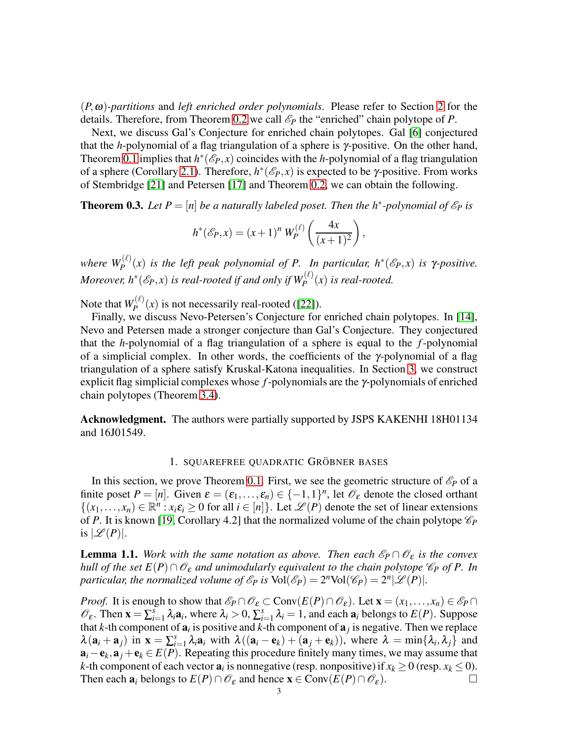(*P*,ω)*-partitions* and *left enriched order polynomials*. Please refer to Section [2](#page-5-0) for the details. Therefore, from Theorem [0.2](#page-1-0) we call  $\mathcal{E}_P$  the "enriched" chain polytope of *P*.

Next, we discuss Gal's Conjecture for enriched chain polytopes. Gal [\[6\]](#page-10-13) conjectured that the *h*-polynomial of a flag triangulation of a sphere is γ-positive. On the other hand, Theorem [0.1](#page-1-1) implies that  $h^*(\mathscr{E}_P, x)$  coincides with the *h*-polynomial of a flag triangulation of a sphere (Corollary [2.1\)](#page-7-0). Therefore,  $h^*(\mathscr{E}_P, x)$  is expected to be γ-positive. From works of Stembridge [\[21\]](#page-10-11) and Petersen [\[17\]](#page-10-12) and Theorem [0.2,](#page-1-0) we can obtain the following.

<span id="page-2-1"></span>**Theorem 0.3.** Let  $P = [n]$  be a naturally labeled poset. Then the  $h^*$ -polynomial of  $\mathcal{E}_P$  is

$$
h^*(\mathscr{E}_P, x) = (x+1)^n W_P^{(\ell)}\left(\frac{4x}{(x+1)^2}\right),
$$

*where*  $W_P^{(\ell)}(x)$  *is the left peak polynomial of P.* In particular,  $h^*(\mathscr{E}_P, x)$  *is*  $\gamma$ *-positive. Moreover, h<sup>\*</sup>*( $\mathscr{E}_P$ ,x) *is real-rooted if and only if*  $W_P^{(\ell)}(x)$  *is real-rooted.* 

Note that  $W_P^{(\ell)}$  $P_P^{(k)}(x)$  is not necessarily real-rooted ([\[22\]](#page-10-14)).

Finally, we discuss Nevo-Petersen's Conjecture for enriched chain polytopes. In [\[14\]](#page-10-15), Nevo and Petersen made a stronger conjecture than Gal's Conjecture. They conjectured that the *h*-polynomial of a flag triangulation of a sphere is equal to the *f*-polynomial of a simplicial complex. In other words, the coefficients of the γ-polynomial of a flag triangulation of a sphere satisfy Kruskal-Katona inequalities. In Section [3,](#page-8-0) we construct explicit flag simplicial complexes whose *f*-polynomials are the γ-polynomials of enriched chain polytopes (Theorem [3.4\)](#page-9-2).

<span id="page-2-0"></span>Acknowledgment. The authors were partially supported by JSPS KAKENHI 18H01134 and 16J01549.

# 1. SQUAREFREE QUADRATIC GRÖBNER BASES

In this section, we prove Theorem [0.1.](#page-1-1) First, we see the geometric structure of  $\mathscr{E}_P$  of a finite poset  $P = [n]$ . Given  $\varepsilon = (\varepsilon_1, \dots, \varepsilon_n) \in \{-1, 1\}^n$ , let  $\mathcal{O}_{\varepsilon}$  denote the closed orthant  $\{(x_1,...,x_n) \in \mathbb{R}^n : x_i \varepsilon_i \geq 0 \text{ for all } i \in [n]\}.$  Let  $\mathscr{L}(P)$  denote the set of linear extensions of *P*. It is known [\[19,](#page-10-2) Corollary 4.2] that the normalized volume of the chain polytope  $\mathcal{C}_P$ is  $|\mathscr{L}(P)|$ .

<span id="page-2-2"></span>**Lemma 1.1.** *Work with the same notation as above. Then each*  $\mathcal{E}_P \cap \mathcal{O}_{\varepsilon}$  *is the convex hull of the set*  $E(P) \cap \mathcal{O}_{\varepsilon}$  *and unimodularly equivalent to the chain polytope*  $\mathcal{C}_P$  *of* P. In *particular, the normalized volume of*  $\mathscr{E}_P$  *is*  $Vol(\mathscr{E}_P) = 2^n Vol(\mathscr{C}_P) = 2^n |\mathscr{L}(P)|$ *.* 

*Proof.* It is enough to show that  $\mathcal{E}_P \cap \mathcal{O}_{\varepsilon} \subset \text{Conv}(E(P) \cap \mathcal{O}_{\varepsilon})$ . Let  $\mathbf{x} = (x_1, \ldots, x_n) \in \mathcal{E}_P \cap \mathcal{O}_{\varepsilon}$  $\mathscr{O}_{\varepsilon}$ . Then  $\mathbf{x} = \sum_{i=1}^{s} \lambda_i \mathbf{a}_i$ , where  $\lambda_i > 0$ ,  $\sum_{i=1}^{s} \lambda_i = 1$ , and each  $\mathbf{a}_i$  belongs to  $E(P)$ . Suppose that *k*-th component of  $a_i$  is positive and *k*-th component of  $a_j$  is negative. Then we replace  $\lambda(\mathbf{a}_i + \mathbf{a}_j)$  in  $\mathbf{x} = \sum_{i=1}^s$  $\lambda_{i=1}^{s} \lambda_i$ **a**<sub>*i*</sub> with  $\lambda((\mathbf{a}_i - \mathbf{e}_k) + (\mathbf{a}_j + \mathbf{e}_k))$ , where  $\lambda = \min\{\lambda_i, \lambda_j\}$  and  $a_i - e_k, a_j + e_k \in E(P)$ . Repeating this procedure finitely many times, we may assume that *k*-th component of each vector  $a_i$  is nonnegative (resp. nonpositive) if  $x_k \ge 0$  (resp.  $x_k \le 0$ ). Then each  $\mathbf{a}_i$  belongs to  $E(P) \cap \mathcal{O}_{\varepsilon}$  and hence  $\mathbf{x} \in \text{Conv}(E(P) \cap \mathcal{O}_{\varepsilon})$ .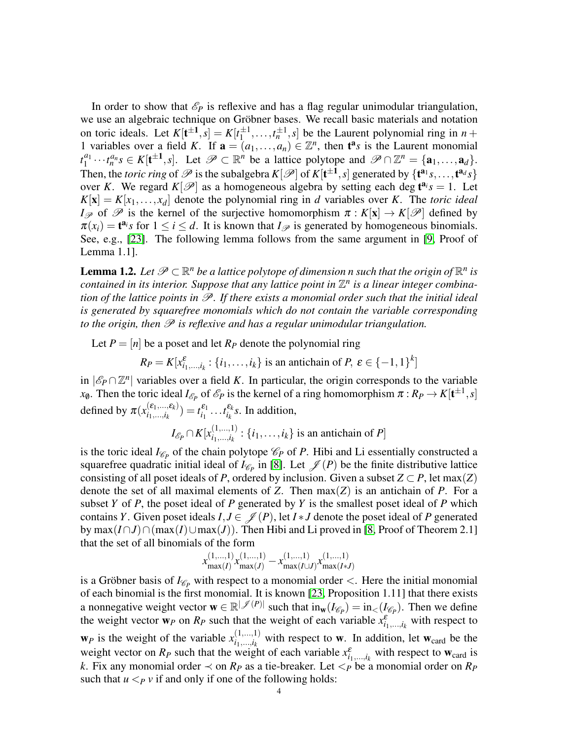In order to show that  $\mathscr{E}_P$  is reflexive and has a flag regular unimodular triangulation, we use an algebraic technique on Gröbner bases. We recall basic materials and notation on toric ideals. Let  $K[t^{\pm 1}, s] = K[t_1^{\pm 1}]$  $\left[\frac{\pm 1}{1}, \ldots, t_n^{\pm 1}, s\right]$  be the Laurent polynomial ring in  $n +$ 1 variables over a field *K*. If  $\mathbf{a} = (a_1, \ldots, a_n) \in \mathbb{Z}^n$ , then  $\mathbf{t}^a s$  is the Laurent monomial  $t_1^{a_1}$  $\mathcal{P}_1^{a_1} \cdots \mathcal{P}_n^{a_n} s \in K[\mathbf{t}^{\pm 1}, s]$ . Let  $\mathcal{P} \subset \mathbb{R}^n$  be a lattice polytope and  $\mathcal{P} \cap \mathbb{Z}^n = {\mathbf{a}_1, \dots, \mathbf{a}_d}$ . Then, the *toric ring* of  $\mathscr P$  is the subalgebra  $K[\mathscr P]$  of  $K[t^{\pm 1}, s]$  generated by  $\{t^{a_1}s, \ldots, t^{a_d}s\}$ over *K*. We regard  $K[\mathcal{P}]$  as a homogeneous algebra by setting each deg  $t^{a_i}s = 1$ . Let  $K[\mathbf{x}] = K[x_1,...,x_d]$  denote the polynomial ring in *d* variables over *K*. The *toric ideal I*<sub>P</sub> of P is the kernel of the surjective homomorphism  $\pi : K[\mathbf{x}] \to K[\mathcal{P}]$  defined by  $\pi(x_i) = t^{a_i} s$  for  $1 \le i \le d$ . It is known that  $I_{\mathscr{P}}$  is generated by homogeneous binomials. See, e.g., [\[23\]](#page-10-16). The following lemma follows from the same argument in [\[9,](#page-10-17) Proof of Lemma 1.1].

<span id="page-3-0"></span>**Lemma 1.2.** Let  $\mathscr{P} \subset \mathbb{R}^n$  be a lattice polytope of dimension n such that the origin of  $\mathbb{R}^n$  is *contained in its interior. Suppose that any lattice point in*  $\mathbb{Z}^n$  *is a linear integer combination of the lattice points in*  $\mathcal{P}$ *. If there exists a monomial order such that the initial ideal is generated by squarefree monomials which do not contain the variable corresponding to the origin, then*  $\mathscr P$  *is reflexive and has a regular unimodular triangulation.* 

Let  $P = [n]$  be a poset and let  $R_P$  denote the polynomial ring

*R*<sub>*P*</sub> = *K*[ $x_{i_1,...,i_k}^{\varepsilon}$  : {*i*<sub>1</sub>,...,*i*<sub>*k*</sub>} is an antichain of *P*,  $\varepsilon \in \{-1,1\}^k$ ]

in  $|\mathscr{E}_P \cap \mathbb{Z}^n|$  variables over a field *K*. In particular, the origin corresponds to the variable *x*<sub>0</sub>. Then the toric ideal *I*<sub>E</sub><sup>*p*</sup> of E<sup>*P*</sup> is the kernel of a ring homomorphism  $\pi : R_P \to K[t^{\pm 1}, s]$ defined by  $\pi(x_{i_1,\ldots,i_k}^{(\varepsilon_1,\ldots,\varepsilon_k)})$  $i_1, ..., i_k$ ) =  $t_{i_1}^{\varepsilon_1} \dots t_{i_k}^{\varepsilon_k}$ *s*. In addition,

> $I_{\mathscr{E}_P} \cap K[x_{i_1,...,i_k}^{(1,...,1)}]$  $\{i_1, ..., i_k : \{i_1, ..., i_k\}$  is an antichain of *P*

is the toric ideal  $I_{\mathscr{C}_P}$  of the chain polytope  $\mathscr{C}_P$  of *P*. Hibi and Li essentially constructed a squarefree quadratic initial ideal of  $I_{\mathscr{C}_P}$  in [\[8\]](#page-10-3). Let  $\mathscr{J}(P)$  be the finite distributive lattice consisting of all poset ideals of *P*, ordered by inclusion. Given a subset  $Z \subset P$ , let max(*Z*) denote the set of all maximal elements of *Z*. Then max(*Z*) is an antichain of *P*. For a subset *Y* of *P*, the poset ideal of *P* generated by *Y* is the smallest poset ideal of *P* which contains *Y*. Given poset ideals  $I, J \in \mathcal{J}(P)$ , let  $I * J$  denote the poset ideal of *P* generated by max $(I ∩ J) ∩ (max(I) ∪ max(J))$ . Then Hibi and Li proved in [\[8,](#page-10-3) Proof of Theorem 2.1] that the set of all binomials of the form

$$
x_{\max(I)}^{(1,...,1)} x_{\max(J)}^{(1,...,1)} - x_{\max(I\cup J)}^{(1,...,1)} x_{\max(I\ast J)}^{(1,...,1)}
$$

is a Gröbner basis of  $I_{\mathscr{C}_P}$  with respect to a monomial order  $\lt$ . Here the initial monomial of each binomial is the first monomial. It is known [\[23,](#page-10-16) Proposition 1.11] that there exists a nonnegative weight vector  $\mathbf{w} \in \mathbb{R}^{|\mathcal{J}(P)|}$  such that  $\text{in}_{\mathbf{w}}(I_{\mathscr{C}_P}) = \text{in}_{\lt}(\overline{I_{\mathscr{C}_P}})$ . Then we define the weight vector  $w_P$  on  $R_P$  such that the weight of each variable  $x_{i_1,...,i_k}^{\varepsilon}$  with respect to  $\mathbf{w}_P$  is the weight of the variable  $x_{i_1,\dots,i_k}^{(1,\dots,1)}$  $\hat{i}_1, \dots, i_k$  with respect to **w**. In addition, let  $w_{\text{card}}$  be the  $i_1, \dots, i_k$ weight vector on  $R_P$  such that the weight of each variable  $x_{i_1,...,i_k}^{\varepsilon}$  with respect to  $w_{\text{card}}$  is *k*. Fix any monomial order  $\prec$  on *R<sub>P</sub>* as a tie-breaker. Let  $\leq$ *P* be a monomial order on *R<sub>P</sub>* such that  $u <_{P} v$  if and only if one of the following holds: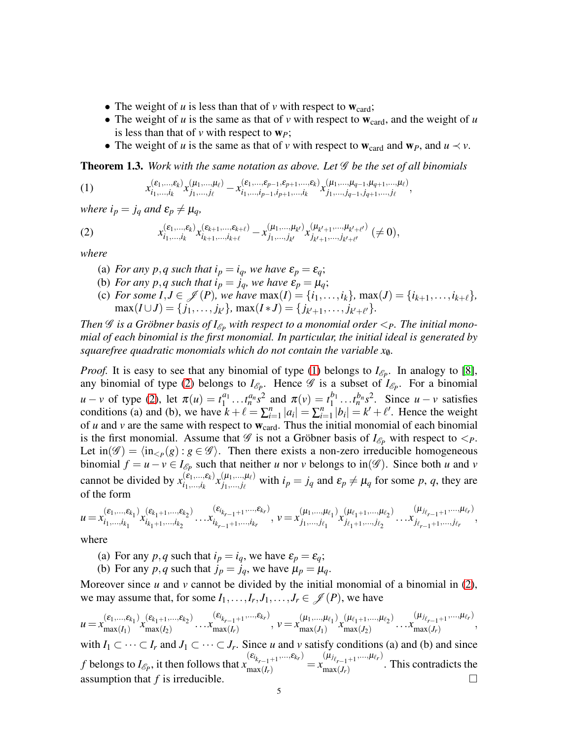- The weight of  $u$  is less than that of  $v$  with respect to  $w_{\text{card}}$ ;
- The weight of  $u$  is the same as that of  $v$  with respect to  $w_{\text{card}}$ , and the weight of  $u$ is less than that of  $\nu$  with respect to  $w_p$ ;
- <span id="page-4-1"></span>• The weight of *u* is the same as that of *v* with respect to  $w_{\text{card}}$  and  $w_p$ , and  $u \prec v$ .

<span id="page-4-0"></span>**Theorem 1.3.** Work with the same notation as above. Let  $\mathscr G$  be the set of all binomials

(1) 
$$
x_{i_1,...,i_k}^{(\varepsilon_1,...,\varepsilon_k)} x_{j_1,...,j_\ell}^{(\mu_1,...,\mu_\ell)} - x_{i_1,...,i_{p-1},i_{p+1},...,i_k}^{(\varepsilon_1,...,\varepsilon_{p-1},\varepsilon_{p+1},..., \varepsilon_k)} x_{j_1,...,j_{q-1},j_{q+1},...,j_\ell}^{(\mu_1,...,\mu_{q-1},\mu_{q+1},..., \mu_\ell)},
$$

*where*  $i_p = j_q$  *and*  $\varepsilon_p \neq \mu_q$ *,* 

(2) 
$$
x_{i_1,...,i_k}^{(\varepsilon_1,...,\varepsilon_k)} x_{i_{k+1},...,i_{k+\ell}}^{(\varepsilon_{k+1},...,\varepsilon_{k+\ell})} - x_{j_1,...,j_{k'}}^{(\mu_1,...,\mu_{k'})} x_{j_{k'+1},...,j_{k'+\ell'}}^{(\mu_{k'+1},...,\mu_{k'+\ell'})} (\neq 0),
$$

*where*

- <span id="page-4-2"></span>(a) *For any p,q such that*  $i_p = i_q$ *, we have*  $\varepsilon_p = \varepsilon_q$ ;
- (b) *For any p,q such that*  $i_p = j_q$ *, we have*  $\varepsilon_p = \mu_q$ ;
- (c) *For some*  $I, J \in \mathcal{J}(P)$ *, we have*  $max(I) = \{i_1, \ldots, i_k\}$ ,  $max(J) = \{i_{k+1}, \ldots, i_{k+\ell}\}$ ,  $max(I \cup J) = \{j_1, \ldots, j_{k'}\}, \, max(I * J) = \{j_{k'+1}, \ldots, j_{k'+\ell'}\}.$

*Then*  $\mathscr G$  *is a Gröbner basis of*  $I_{\mathscr E_P}$  *with respect to a monomial order*  $\lt_{P}$ *. The initial monomial of each binomial is the first monomial. In particular, the initial ideal is generated by squarefree quadratic monomials which do not contain the variable x*/0*.*

*Proof.* It is easy to see that any binomial of type [\(1\)](#page-4-1) belongs to  $I_{\mathscr{E}_P}$ . In analogy to [\[8\]](#page-10-3), any binomial of type [\(2\)](#page-4-2) belongs to  $I_{\mathscr{E}_P}$ . Hence  $\mathscr{G}$  is a subset of  $I_{\mathscr{E}_P}$ . For a binomial  $u - v$  of type [\(2\)](#page-4-2), let  $\pi(u) = t_1^{a_1}$  $t_1^{a_1} \dots t_n^{a_n} s^2$  and  $\pi(v) = t_1^{b_1}$  $\int_1^{b_1} \dots t_n^{b_n} s^2$ . Since  $u - v$  satisfies conditions (a) and (b), we have  $k + \ell = \sum_{i=1}^{n}$  $|a_{i}| = \sum_{i=1}^{n} |a_{i}|$  $\sum_{i=1}^{n} |b_i| = k' + \ell'.$  Hence the weight of  $u$  and  $v$  are the same with respect to  $w_{\text{card}}$ . Thus the initial monomial of each binomial is the first monomial. Assume that  $\mathscr G$  is not a Gröbner basis of  $I_{\mathscr E_P}$  with respect to  $\lt_P$ . Let  $\text{in}(\mathscr{G}) = \langle \text{in}_{\leq P}(g) : g \in \mathscr{G} \rangle$ . Then there exists a non-zero irreducible homogeneous binomial  $f = u - v \in I_{\mathscr{E}_P}$  such that neither *u* nor *v* belongs to in( $\mathscr{G}$ ). Since both *u* and *v* cannot be divided by  $x_{i_1,\dots,i_k}^{(\varepsilon_1,\dots,\varepsilon_k)}$  $\binom{(\varepsilon_1,...,\varepsilon_k)}{i_1,...,i_k} x^{(\mu_1,...,\mu_\ell)}_{j_1,...,j_\ell}$  $j_{1},...,j_{\ell}$  with  $i_{p} = j_{q}$  and  $\varepsilon_{p} \neq \mu_{q}$  for some *p*, *q*, they are of the form

$$
u = x_{i_1, \ldots, i_{k_1}}^{(\varepsilon_1, \ldots, \varepsilon_{k_1})} x_{i_{k_1+1}, \ldots, i_{k_2}}^{(\varepsilon_{k_1+1}, \ldots, \varepsilon_{k_2})} \ldots x_{i_{k_{r-1}+1}, \ldots, i_{k_r}}^{(\varepsilon_{i_{k_{r-1}+1}}, \ldots, \varepsilon_{k_r})}, \quad v = x_{j_1, \ldots, j_{\ell_1}}^{(\mu_1, \ldots, \mu_{\ell_1})} x_{j_{\ell_1+1}, \ldots, j_{\ell_2}}^{(\mu_{\ell_1+1}, \ldots, \mu_{\ell_r})} \ldots x_{j_{\ell_{r-1}+1}, \ldots, j_{\ell_r}},
$$

where

- (a) For any  $p, q$  such that  $i_p = i_q$ , we have  $\varepsilon_p = \varepsilon_q$ ;
- (b) For any  $p, q$  such that  $j_p = j_q$ , we have  $\mu_p = \mu_q$ .

Moreover since  $u$  and  $v$  cannot be divided by the initial monomial of a binomial in  $(2)$ , we may assume that, for some  $I_1, \ldots, I_r, J_1, \ldots, J_r \in \mathcal{J}(P)$ , we have

$$
u = x_{\max(I_1)}^{(\varepsilon_1, \ldots, \varepsilon_{k_1})} x_{\max(I_2)}^{(\varepsilon_{k_1+1}, \ldots, \varepsilon_{k_2})} \ldots x_{\max(I_r)}^{(\varepsilon_{i_{k_{r-1}+1}}, \ldots, \varepsilon_{k_r})}, \quad v = x_{\max(J_1)}^{(\mu_1, \ldots, \mu_{\ell_1})} x_{\max(J_2)}^{(\mu_{\ell_1+1}, \ldots, \mu_{\ell_2})} \ldots x_{\max(J_r)}^{(\mu_{j_{\ell_{r-1}+1}}, \ldots, \mu_{\ell_r})},
$$

with  $I_1 \subset \cdots \subset I_r$  and  $J_1 \subset \cdots \subset J_r$ . Since *u* and *v* satisfy conditions (a) and (b) and since *f* belongs to  $I_{\mathscr{E}_P}$ , it then follows that *x*  $(\varepsilon_{i_{k_{r-1}+1}},...,\varepsilon_{k_r})$  $\max_{r=1+1}^{k_{r-1}+1} = x$  $(\mu_{j_{\ell_{r-1}+1}},...,\mu_{\ell_r})$  $\max(J_r)$ . This contradicts the assumption that  $f$  is irreducible.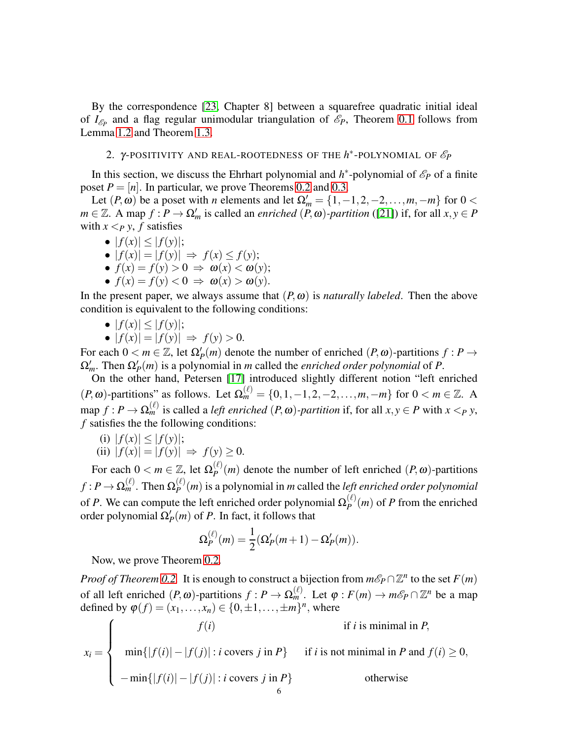By the correspondence [\[23,](#page-10-16) Chapter 8] between a squarefree quadratic initial ideal of  $I_{\mathscr{E}_P}$  and a flag regular unimodular triangulation of  $\mathscr{E}_P$ , Theorem [0.1](#page-1-1) follows from Lemma [1.2](#page-3-0) and Theorem [1.3.](#page-4-0)

# <span id="page-5-0"></span>2. γ-POSITIVITY AND REAL-ROOTEDNESS OF THE  $h^*$ -POLYNOMIAL OF  $\mathscr{E}_P$

In this section, we discuss the Ehrhart polynomial and  $h^*$ -polynomial of  $\mathcal{E}_P$  of a finite poset  $P = [n]$ . In particular, we prove Theorems [0.2](#page-1-0) and [0.3.](#page-2-1)

Let  $(P, \omega)$  be a poset with *n* elements and let  $\Omega'_m = \{1, -1, 2, -2, \dots, m, -m\}$  for  $0 <$  $m \in \mathbb{Z}$ . A map  $f : P \to \Omega'_m$  is called an *enriched*  $(P, \omega)$ *-partition* ([\[21\]](#page-10-11)) if, for all  $x, y \in P$ with  $x < p$  *y*, *f* satisfies

•  $|f(x)| < |f(y)|$ ;

$$
\bullet \ |f(x)| = |f(y)| \ \Rightarrow \ f(x) \le f(y);
$$

- $\bullet$   $f(x) = f(y) > 0 \Rightarrow \omega(x) < \omega(y);$
- $\bullet$   $f(x) = f(y) < 0 \Rightarrow \omega(x) > \omega(y)$ .

In the present paper, we always assume that  $(P, \omega)$  is *naturally labeled*. Then the above condition is equivalent to the following conditions:

- $|f(x)| < |f(y)|$ ;
- $\bullet$  |  $f(x)$ | = |  $f(y)$ | ⇒  $f(y) > 0$ .

For each  $0 < m \in \mathbb{Z}$ , let  $\Omega'_P(m)$  denote the number of enriched  $(P, \omega)$ -partitions  $f : P \to$  $\Omega'_m$ . Then  $\Omega'_P(m)$  is a polynomial in *m* called the *enriched order polynomial* of *P*.

On the other hand, Petersen [\[17\]](#page-10-12) introduced slightly different notion "left enriched  $(P, \omega)$ -partitions" as follows. Let  $\Omega_m^{(\ell)} = \{0, 1, -1, 2, -2, \dots, m, -m\}$  for  $0 < m \in \mathbb{Z}$ . A  $\text{map } f: P \to \Omega_m^{(\ell)}$  is called a *left enriched*  $(P, \omega)$ *-partition* if, for all  $x, y \in P$  with  $x <_P y$ , *f* satisfies the the following conditions:

(i)  $|f(x)| \leq |f(y)|$ ;

(ii) 
$$
|f(x)| = |f(y)| \Rightarrow f(y) \ge 0.
$$

For each  $0 < m \in \mathbb{Z}$ , let  $\Omega_p^{(\ell)}$  $P_P^{(t)}(m)$  denote the number of left enriched  $(P, \omega)$ -partitions  $f : P \to \Omega_m^{(\ell)}.$  Then  $\Omega_P^{(\ell)}$  $P_P^{(t)}(m)$  is a polynomial in *m* called the *left enriched order polynomial* of *P*. We can compute the left enriched order polynomial  $\Omega_P^{(\ell)}$  $P_P^{(k)}(m)$  of *P* from the enriched order polynomial  $\Omega'_P(m)$  of *P*. In fact, it follows that

$$
\Omega_P^{(\ell)}(m) = \frac{1}{2} (\Omega'_P(m+1) - \Omega'_P(m)).
$$

Now, we prove Theorem [0.2.](#page-1-0)

*Proof of Theorem* [0.2.](#page-1-0) It is enough to construct a bijection from  $m\mathscr{E}_P \cap \mathbb{Z}^n$  to the set  $F(m)$ of all left enriched  $(P, \omega)$ -partitions  $f : P \to \Omega_m^{(\ell)}$ . Let  $\varphi : F(m) \to m\mathscr{E}_P \cap \mathbb{Z}^n$  be a map defined by  $\varphi(f) = (x_1, ..., x_n) \in \{0, \pm 1, ..., \pm m\}^n$ , where

$$
x_i = \begin{cases} f(i) & \text{if } i \text{ is minimal in } P, \\ \min\{|f(i)| - |f(j)| : i \text{ covers } j \text{ in } P\} & \text{if } i \text{ is not minimal in } P \text{ and } f(i) \ge 0, \\ -\min\{|f(i)| - |f(j)| : i \text{ covers } j \text{ in } P\} & \text{otherwise} \end{cases}
$$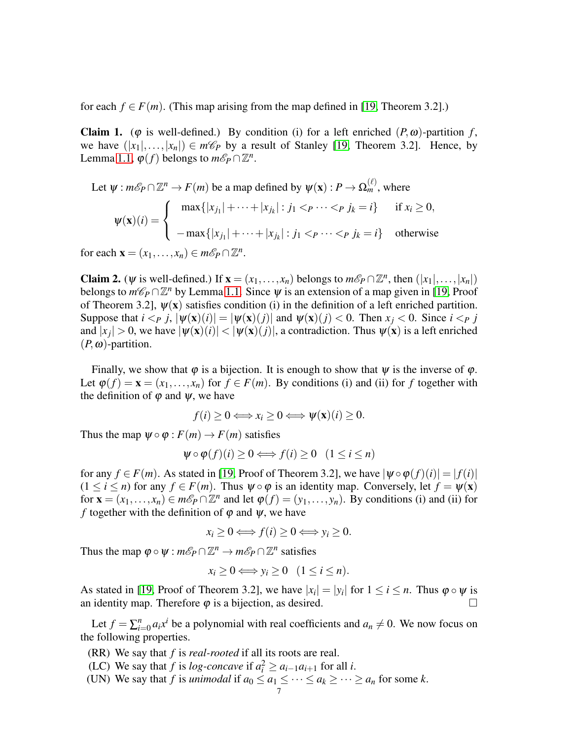for each  $f \in F(m)$ . (This map arising from the map defined in [\[19,](#page-10-2) Theorem 3.2].)

**Claim 1.** ( $\varphi$  is well-defined.) By condition (i) for a left enriched  $(P, \omega)$ -partition *f*, we have  $(|x_1|,\ldots,|x_n|) \in m\mathcal{C}_P$  by a result of Stanley [\[19,](#page-10-2) Theorem 3.2]. Hence, by Lemma [1.1,](#page-2-2)  $\varphi(f)$  belongs to  $m\mathscr{E}_P \cap \mathbb{Z}^n$ .

 $(2)$ 

Let 
$$
\psi : m\mathcal{E}_P \cap \mathbb{Z}^n \to F(m)
$$
 be a map defined by  $\psi(\mathbf{x}) : P \to \Omega_m^{(\ell)}$ , where  
\n
$$
\psi(\mathbf{x})(i) = \begin{cases}\n\max\{|x_{j_1}| + \dots + |x_{j_k}| : j_1 < p \dots < p \ j_k = i\} & \text{if } x_i \ge 0, \\
-\max\{|x_{j_1}| + \dots + |x_{j_k}| : j_1 < p \dots < p \ j_k = i\} & \text{otherwise}\n\end{cases}
$$

for each  $\mathbf{x} = (x_1, \dots, x_n) \in m\mathcal{E}_P \cap \mathbb{Z}^n$ .

Claim 2. ( $\psi$  is well-defined.) If  $\mathbf{x} = (x_1, \dots, x_n)$  belongs to  $m\mathscr{E}_P \cap \mathbb{Z}^n$ , then  $(|x_1|, \dots, |x_n|)$ belongs to  $m\mathcal{C}_P \cap \mathbb{Z}^n$  by Lemma [1.1.](#page-2-2) Since  $\psi$  is an extension of a map given in [\[19,](#page-10-2) Proof of Theorem 3.2],  $\psi(x)$  satisfies condition (i) in the definition of a left enriched partition. Suppose that  $i < p$   $j$ ,  $|\psi(\mathbf{x})(i)| = |\psi(\mathbf{x})(j)|$  and  $\psi(\mathbf{x})(j) < 0$ . Then  $x_i < 0$ . Since  $i < p$  *j* and  $|x_j| > 0$ , we have  $|\psi(\mathbf{x})(i)| < |\psi(\mathbf{x})(j)|$ , a contradiction. Thus  $\psi(\mathbf{x})$  is a left enriched  $(P, \omega)$ -partition.

Finally, we show that  $\varphi$  is a bijection. It is enough to show that  $\psi$  is the inverse of  $\varphi$ . Let  $\varphi(f) = \mathbf{x} = (x_1, \ldots, x_n)$  for  $f \in F(m)$ . By conditions (i) and (ii) for *f* together with the definition of  $\varphi$  and  $\psi$ , we have

$$
f(i) \geq 0 \Longleftrightarrow x_i \geq 0 \Longleftrightarrow \psi(\mathbf{x})(i) \geq 0.
$$

Thus the map  $\psi \circ \varphi : F(m) \to F(m)$  satisfies

$$
\psi \circ \varphi(f)(i) \ge 0 \Longleftrightarrow f(i) \ge 0 \quad (1 \le i \le n)
$$

for any  $f \in F(m)$ . As stated in [\[19,](#page-10-2) Proof of Theorem 3.2], we have  $|\psi \circ \varphi(f)(i)| = |f(i)|$  $(1 \le i \le n)$  for any  $f \in F(m)$ . Thus  $\psi \circ \varphi$  is an identity map. Conversely, let  $f = \psi(\mathbf{x})$ for  $\mathbf{x} = (x_1, \ldots, x_n) \in m\mathcal{E}_P \cap \mathbb{Z}^n$  and let  $\varphi(f) = (y_1, \ldots, y_n)$ . By conditions (i) and (ii) for *f* together with the definition of  $\varphi$  and  $\psi$ , we have

$$
x_i \ge 0 \Longleftrightarrow f(i) \ge 0 \Longleftrightarrow y_i \ge 0.
$$

Thus the map  $\varphi \circ \psi : m\mathscr{E}_P \cap \mathbb{Z}^n \to m\mathscr{E}_P \cap \mathbb{Z}^n$  satisfies

$$
x_i \geq 0 \Longleftrightarrow y_i \geq 0 \quad (1 \leq i \leq n).
$$

As stated in [\[19,](#page-10-2) Proof of Theorem 3.2], we have  $|x_i| = |y_i|$  for  $1 \le i \le n$ . Thus  $\varphi \circ \psi$  is an identity map. Therefore  $\varphi$  is a bijection, as desired.  $\square$ 

Let  $f = \sum_{i=1}^n$  $\int_{i=0}^{n} a_i x^i$  be a polynomial with real coefficients and  $a_n \neq 0$ . We now focus on the following properties.

- (RR) We say that *f* is *real-rooted* if all its roots are real.
- (LC) We say that *f* is *log-concave* if  $a_i^2 \ge a_{i-1}a_{i+1}$  for all *i*.
- (UN) We say that *f* is *unimodal* if  $a_0 \le a_1 \le \cdots \le a_k \ge \cdots \ge a_n$  for some *k*.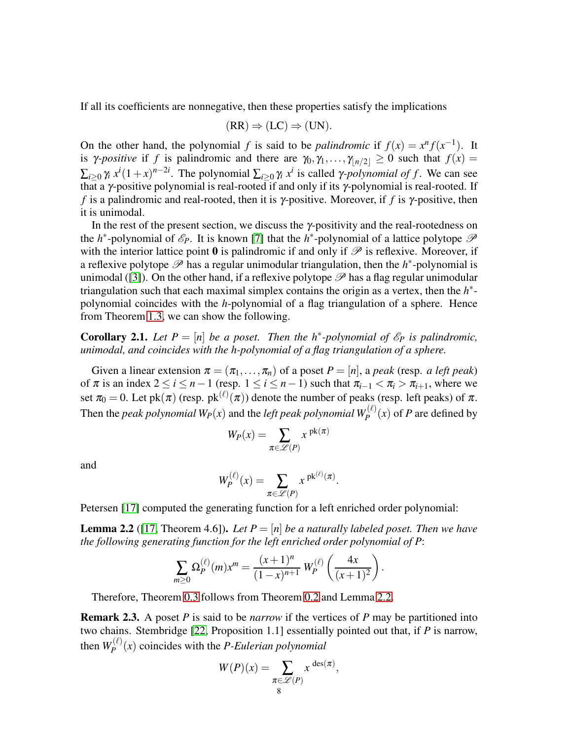If all its coefficients are nonnegative, then these properties satisfy the implications

$$
(RR) \Rightarrow (LC) \Rightarrow (UN).
$$

On the other hand, the polynomial *f* is said to be *palindromic* if  $f(x) = x^n f(x^{-1})$ . It is *γ*-*positive* if *f* is palindromic and there are  $\gamma_0, \gamma_1, \ldots, \gamma_{n/2} \geq 0$  such that  $f(x) =$  $\sum_{i\geq 0} \gamma_i x^i (1+x)^{n-2i}$ . The polynomial  $\sum_{i\geq 0} \gamma_i x^i$  is called *γ-polynomial of f*. We can see that a γ-positive polynomial is real-rooted if and only if its γ-polynomial is real-rooted. If *f* is a palindromic and real-rooted, then it is γ-positive. Moreover, if *f* is γ-positive, then it is unimodal.

In the rest of the present section, we discuss the  $\gamma$ -positivity and the real-rootedness on the *h*<sup>\*</sup>-polynomial of  $\mathcal{E}_P$ . It is known [\[7\]](#page-10-18) that the *h*<sup>\*</sup>-polynomial of a lattice polytope  $\mathcal P$ with the interior lattice point  $\bf{0}$  is palindromic if and only if  $\mathscr P$  is reflexive. Moreover, if a reflexive polytope  $\mathscr P$  has a regular unimodular triangulation, then the  $h^*$ -polynomial is unimodal ([\[3\]](#page-9-3)). On the other hand, if a reflexive polytope  $\mathscr P$  has a flag regular unimodular triangulation such that each maximal simplex contains the origin as a vertex, then the *h* ∗ polynomial coincides with the *h*-polynomial of a flag triangulation of a sphere. Hence from Theorem [1.3,](#page-4-0) we can show the following.

<span id="page-7-0"></span>**Corollary 2.1.** Let  $P = [n]$  be a poset. Then the  $h^*$ -polynomial of  $\mathcal{E}_P$  is palindromic, *unimodal, and coincides with the h-polynomial of a flag triangulation of a sphere.*

Given a linear extension  $\pi = (\pi_1, \dots, \pi_n)$  of a poset  $P = [n]$ , a peak (resp. *a left peak*) of  $\pi$  is an index  $2 \le i \le n-1$  (resp.  $1 \le i \le n-1$ ) such that  $\pi_{i-1} < \pi_i > \pi_{i+1}$ , where we set  $\pi_0 = 0$ . Let pk $(\pi)$  (resp. pk $^{(\ell)}(\pi)$ ) denote the number of peaks (resp. left peaks) of  $\pi$ . Then the *peak polynomial*  $W_P(x)$  and the *left peak polynomial*  $W_P^{(\ell)}(x)$  of  $P$  are defined by

$$
W_P(x)=\sum_{\pi\in\mathscr{L}(P)}x^{\,\operatorname{pk}(\pi)}
$$

and

$$
W_P^{(\ell)}(x) = \sum_{\pi \in \mathscr{L}(P)} x^{\operatorname{pk}^{(\ell)}(\pi)}.
$$

Petersen [\[17\]](#page-10-12) computed the generating function for a left enriched order polynomial:

<span id="page-7-1"></span>**Lemma 2.2** ([\[17,](#page-10-12) Theorem 4.6]). Let  $P = [n]$  be a naturally labeled poset. Then we have *the following generating function for the left enriched order polynomial of P*:

$$
\sum_{m\geq 0} \Omega_P^{(\ell)}(m) x^m = \frac{(x+1)^n}{(1-x)^{n+1}} W_P^{(\ell)}\left(\frac{4x}{(x+1)^2}\right).
$$

Therefore, Theorem [0.3](#page-2-1) follows from Theorem [0.2](#page-1-0) and Lemma [2.2.](#page-7-1)

Remark 2.3. A poset *P* is said to be *narrow* if the vertices of *P* may be partitioned into two chains. Stembridge [\[22,](#page-10-14) Proposition 1.1] essentially pointed out that, if *P* is narrow, then  $W_P^{(\ell)}$  $P_P^{(k)}(x)$  coincides with the *P-Eulerian polynomial* 

$$
W(P)(x) = \sum_{\substack{\pi \in \mathcal{L}(P) \\ 8}} x^{\deg(\pi)},
$$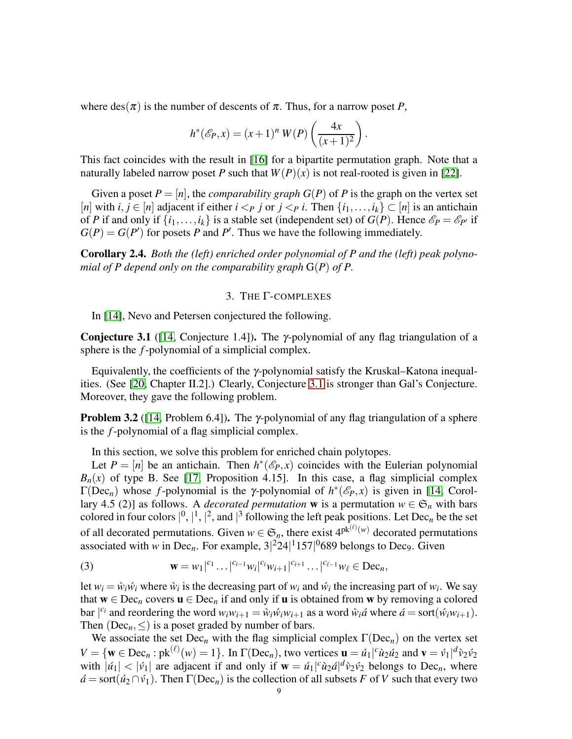where  $des(\pi)$  is the number of descents of  $\pi$ . Thus, for a narrow poset *P*,

$$
h^{*}(\mathscr{E}_{P}, x) = (x+1)^{n} W(P) \left( \frac{4x}{(x+1)^{2}} \right).
$$

This fact coincides with the result in [\[16\]](#page-10-19) for a bipartite permutation graph. Note that a naturally labeled narrow poset *P* such that  $W(P)(x)$  is not real-rooted is given in [\[22\]](#page-10-14).

Given a poset  $P = [n]$ , the *comparability graph*  $G(P)$  of P is the graph on the vertex set [*n*] with *i*, *j* ∈ [*n*] adjacent if either *i* <*p j* or *j* <*p i*. Then { $i_1, \ldots, i_k$ } ⊂ [*n*] is an antichain of *P* if and only if  $\{i_1, \ldots, i_k\}$  is a stable set (independent set) of  $G(P)$ . Hence  $\mathcal{E}_P = \mathcal{E}_{P'}$  if  $G(P) = G(P')$  for posets *P* and *P'*. Thus we have the following immediately.

<span id="page-8-0"></span>Corollary 2.4. *Both the (left) enriched order polynomial of P and the (left) peak polynomial of P depend only on the comparability graph* G(*P*) *of P.*

## 3. THE Γ-COMPLEXES

In [\[14\]](#page-10-15), Nevo and Petersen conjectured the following.

<span id="page-8-1"></span>**Conjecture 3.1** ([\[14,](#page-10-15) Conjecture 1.4]). The  $\gamma$ -polynomial of any flag triangulation of a sphere is the *f*-polynomial of a simplicial complex.

Equivalently, the coefficients of the γ-polynomial satisfy the Kruskal–Katona inequalities. (See [\[20,](#page-10-20) Chapter II.2].) Clearly, Conjecture [3.1](#page-8-1) is stronger than Gal's Conjecture. Moreover, they gave the following problem.

**Problem 3.2** ([\[14,](#page-10-15) Problem 6.4]). The  $\gamma$ -polynomial of any flag triangulation of a sphere is the *f*-polynomial of a flag simplicial complex.

In this section, we solve this problem for enriched chain polytopes.

Let  $P = [n]$  be an antichain. Then  $h^*(\mathcal{E}_P, x)$  coincides with the Eulerian polynomial  $B_n(x)$  of type B. See [\[17,](#page-10-12) Proposition 4.15]. In this case, a flag simplicial complex  $\Gamma(\text{Dec}_n)$  whose *f*-polynomial is the γ-polynomial of  $h^*(\mathscr{E}_P, x)$  is given in [\[14,](#page-10-15) Corollary 4.5 (2)] as follows. A *decorated permutation* **w** is a permutation  $w \in \mathfrak{S}_n$  with bars colored in four colors  $\vert^0, \vert^1, \vert^2$ , and  $\vert^3$  following the left peak positions. Let Dec<sub>n</sub> be the set of all decorated permutations. Given  $w \in \mathfrak{S}_n$ , there exist  $4^{pk^{(\ell)}(w)}$  decorated permutations associated with *w* in Dec<sub>n</sub>. For example,  $3|^{2}24|^{1}157|^{0}689$  belongs to Dec<sub>9</sub>. Given

<span id="page-8-2"></span>(3) 
$$
\mathbf{w} = w_1|^{c_1} \dots |^{c_{i-1}} w_i|^{c_i} w_{i+1}|^{c_{i+1}} \dots |^{c_{\ell-1}} w_{\ell} \in \text{Dec}_n,
$$

let  $w_i = \hat{w}_i \hat{w}_i$  where  $\hat{w}_i$  is the decreasing part of  $w_i$  and  $\hat{w}_i$  the increasing part of  $w_i$ . We say that  $w \in \text{Dec}_n$  covers  $u \in \text{Dec}_n$  if and only if u is obtained from w by removing a colored bar  $|^{c_i}$  and reordering the word  $w_iw_{i+1} = \hat{w}_i\hat{w}_iw_{i+1}$  as a word  $\hat{w}_i\hat{a}$  where  $\hat{a} = \text{sort}(\hat{w}_iw_{i+1})$ . Then ( $Dec_n, \leq$ ) is a poset graded by number of bars.

We associate the set  $Dec_n$  with the flag simplicial complex  $\Gamma(Dec_n)$  on the vertex set  $V = \{ \mathbf{w} \in \text{Dec}_n : \text{pk}^{(\ell)}(w) = 1 \}.$  In  $\Gamma(\text{Dec}_n)$ , two vertices  $\mathbf{u} = \hat{u}_1|^c \hat{u}_2 \hat{u}_2$  and  $\mathbf{v} = \hat{v}_1 |^d \hat{v}_2 \hat{v}_2$ with  $|\dot{u}_1| < |\dot{v}_1|$  are adjacent if and only if  $\mathbf{w} = \dot{u}_1|^c \dot{u}_2 d|^d \dot{v}_2 \dot{v}_2$  belongs to Dec<sub>n</sub>, where  $\acute{a}$  = sort( $\acute{u}_2 \cap \acute{v}_1$ ). Then  $\Gamma(\text{Dec}_n)$  is the collection of all subsets *F* of *V* such that every two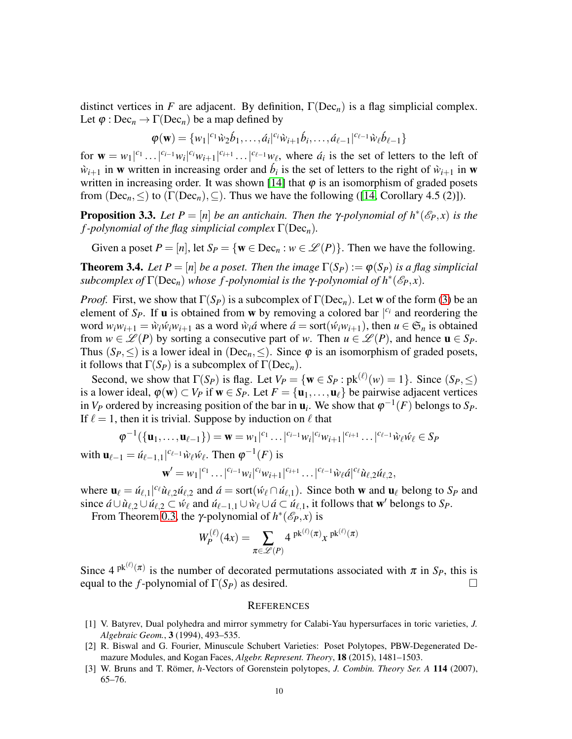distinct vertices in *F* are adjacent. By definition,  $\Gamma(Dec_n)$  is a flag simplicial complex. Let  $\varphi$  : Dec<sub>n</sub>  $\rightarrow \Gamma(\text{Dec}_n)$  be a map defined by

$$
\varphi(\mathbf{w}) = \{w_1|^{c_1} \hat{w}_2 \hat{b}_1, \dots, \hat{a}_i|^{c_i} \hat{w}_{i+1} \hat{b}_i, \dots, \hat{a}_{\ell-1}|^{c_{\ell-1}} \hat{w}_{\ell} \hat{b}_{\ell-1}\}
$$

for  $\mathbf{w} = w_1|^{c_1} \dots |^{c_{i-1}} w_i|^{c_i} w_{i+1}|^{c_{i+1}} \dots |^{c_{\ell-1}} w_{\ell}$ , where  $\dot{a}_i$  is the set of letters to the left of  $\hat{w}_{i+1}$  in w written in increasing order and  $\hat{b}_i$  is the set of letters to the right of  $\hat{w}_{i+1}$  in w written in increasing order. It was shown [\[14\]](#page-10-15) that  $\varphi$  is an isomorphism of graded posets from  $(Dec_n, \leq)$  to  $(\Gamma(Dec_n), \subseteq)$ . Thus we have the following ([\[14,](#page-10-15) Corollary 4.5 (2)]).

**Proposition 3.3.** Let  $P = [n]$  be an antichain. Then the  $\gamma$ -polynomial of  $h^*(\mathcal{E}_P, x)$  is the *f -polynomial of the flag simplicial complex* Γ(Dec*n*)*.*

Given a poset  $P = [n]$ , let  $S_P = \{ \mathbf{w} \in \text{Dec}_n : w \in \mathcal{L}(P) \}$ . Then we have the following.

<span id="page-9-2"></span>**Theorem 3.4.** Let  $P = [n]$  be a poset. Then the image  $\Gamma(S_P) := \varphi(S_P)$  is a flag simplicial *subcomplex of*  $\Gamma(\text{Dec}_n)$  *whose f-polynomial is the*  $\gamma$ -polynomial of  $h^*(\mathscr{E}_P, x)$ *.* 

*Proof.* First, we show that  $\Gamma(S_P)$  is a subcomplex of  $\Gamma(Dec_n)$ . Let w of the form [\(3\)](#page-8-2) be an element of  $S_P$ . If **u** is obtained from **w** by removing a colored bar  $|^{c_i}$  and reordering the word  $w_iw_{i+1} = \hat{w}_i\hat{w}_iw_{i+1}$  as a word  $\hat{w}_i\hat{a}$  where  $\hat{a} = \text{sort}(\hat{w}_iw_{i+1})$ , then  $u \in \mathfrak{S}_n$  is obtained from  $w \in \mathcal{L}(P)$  by sorting a consecutive part of *w*. Then  $u \in \mathcal{L}(P)$ , and hence  $u \in S_P$ . Thus  $(S_P, \leq)$  is a lower ideal in (Dec<sub>n</sub>,  $\leq$ ). Since  $\varphi$  is an isomorphism of graded posets, it follows that  $\Gamma(S_P)$  is a subcomplex of  $\Gamma(Dec_n)$ .

Second, we show that  $\Gamma(S_P)$  is flag. Let  $V_P = \{ \mathbf{w} \in S_P : \mathrm{pk}^{(\ell)}(w) = 1 \}$ . Since  $(S_P, \leq)$ is a lower ideal,  $\varphi(\mathbf{w}) \subset V_P$  if  $\mathbf{w} \in S_P$ . Let  $F = {\mathbf{u}_1, \dots, \mathbf{u}_{\ell}}$  be pairwise adjacent vertices in *V<sub>P</sub>* ordered by increasing position of the bar in  $\mathbf{u}_i$ . We show that  $\varphi^{-1}(F)$  belongs to *S<sub>P</sub>*. If  $\ell = 1$ , then it is trivial. Suppose by induction on  $\ell$  that

$$
\varphi^{-1}(\{\mathbf{u}_1,\ldots,\mathbf{u}_{\ell-1}\}) = \mathbf{w} = w_1|^{c_1}\ldots|^{c_{i-1}}w_i|^{c_i}w_{i+1}|^{c_{i+1}}\ldots|^{c_{\ell-1}}\tilde{w}_{\ell}\tilde{w}_{\ell} \in S_P
$$

with  $\mathbf{u}_{\ell-1} = \mathcal{u}_{\ell-1,1} |^{c_{\ell-1}} \mathcal{w}_{\ell} \mathcal{w}_{\ell}$ . Then  $\varphi^{-1}(F)$  is

$$
\mathbf{w}' = w_1|^{c_1} \dots |^{c_{i-1}} w_i|^{c_i} w_{i+1}|^{c_{i+1}} \dots |^{c_{\ell-1}} \tilde{w}_{\ell} \tilde{a}|^{c_{\ell}} \tilde{u}_{\ell,2} \tilde{u}_{\ell,2},
$$

where  $\mathbf{u}_{\ell} = \hat{u}_{\ell,1} |^{c_{\ell}} \hat{u}_{\ell,2} \hat{u}_{\ell,2}$  and  $\hat{a} = \text{sort}(\hat{w}_{\ell} \cap \hat{u}_{\ell,1})$ . Since both **w** and  $\mathbf{u}_{\ell}$  belong to *S<sub>P</sub>* and since  $\hat{a} \cup \hat{u}_{\ell,2} \cup \hat{u}_{\ell,2} \subset \hat{w}_{\ell}$  and  $\hat{u}_{\ell-1,1} \cup \hat{w}_{\ell} \cup \hat{a} \subset \hat{u}_{\ell,1}$ , it follows that w' belongs to *S<sub>P</sub>*.

From Theorem [0.3,](#page-2-1) the *γ*-polynomial of  $h^*(\mathscr{E}_P, x)$  is

$$
W_P^{(\ell)}(4x) = \sum_{\pi \in \mathscr{L}(P)} 4^{\operatorname{pk}^{(\ell)}(\pi)} x^{\operatorname{pk}^{(\ell)}(\pi)}
$$

Since  $4^{pk^{(\ell)}(\pi)}$  is the number of decorated permutations associated with  $\pi$  in  $S_P$ , this is equal to the *f*-polynomial of  $\Gamma(S_P)$  as desired.

### **REFERENCES**

- <span id="page-9-1"></span>[1] V. Batyrev, Dual polyhedra and mirror symmetry for Calabi-Yau hypersurfaces in toric varieties, *J. Algebraic Geom.*, 3 (1994), 493–535.
- <span id="page-9-0"></span>[2] R. Biswal and G. Fourier, Minuscule Schubert Varieties: Poset Polytopes, PBW-Degenerated Demazure Modules, and Kogan Faces, *Algebr. Represent. Theory*, 18 (2015), 1481–1503.
- <span id="page-9-3"></span>[3] W. Bruns and T. Römer, *h*-Vectors of Gorenstein polytopes, *J. Combin. Theory Ser. A* 114 (2007), 65–76.